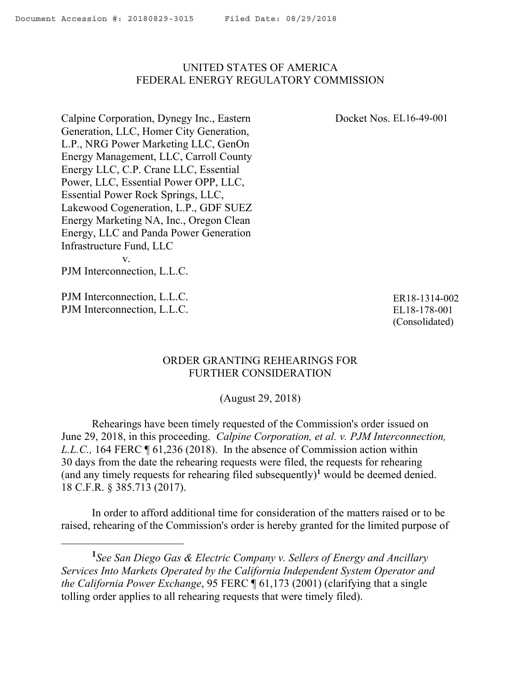## <span id="page-0-0"></span>UNITED STATES OF AMERICA FEDERAL ENERGY REGULATORY COMMISSION

Docket Nos. EL16-49-001

Calpine Corporation, Dynegy Inc., Eastern Generation, LLC, Homer City Generation, L.P., NRG Power Marketing LLC, GenOn Energy Management, LLC, Carroll County Energy LLC, C.P. Crane LLC, Essential Power, LLC, Essential Power OPP, LLC, Essential Power Rock Springs, LLC, Lakewood Cogeneration, L.P., GDF SUEZ Energy Marketing NA, Inc., Oregon Clean Energy, LLC and Panda Power Generation Infrastructure Fund, LLC v.

PJM Interconnection, L.L.C.

PJM Interconnection, L.L.C. PJM Interconnection, L.L.C.

 $\overline{a}$ 

ER18-1314-002 EL18-178-001 (Consolidated)

## ORDER GRANTING REHEARINGS FOR FURTHER CONSIDERATION

(August 29, 2018)

Rehearings have been timely requested of the Commission's order issued on June 29, 2018, in this proceeding. *Calpine Corporation, et al. v. PJM Interconnection, L.L.C.*, 164 FERC  $\P$  61,236 (2018). In the absence of Commission action within 30 days from the date the rehearing requests were filed, the requests for rehearing (and any timely requests for rehearing filed subsequently)**<sup>1</sup>** would be deemed denied. 18 C.F.R. § 385.713 (2017).

In order to afford additional time for consideration of the matters raised or to be raised, rehearing of the Commission's order is hereby granted for the limited purpose of

**<sup>1</sup>** *See San Diego Gas & Electric Company v. Sellers of Energy and Ancillary Services Into Markets Operated by the California Independent System Operator and the California Power Exchange*, 95 FERC ¶ 61,173 (2001) (clarifying that a single tolling order applies to all rehearing requests that were timely filed).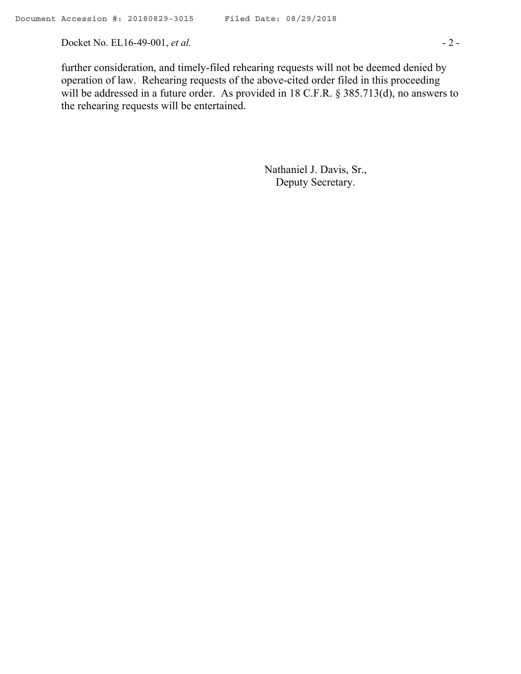Docket No. EL16-49-001, *et al.* - 2 -

further consideration, and timely-filed rehearing requests will not be deemed denied by operation of law. Rehearing requests of the above-cited order filed in this proceeding will be addressed in a future order. As provided in 18 C.F.R. § 385.713(d), no answers to the rehearing requests will be entertained.

> Nathaniel J. Davis, Sr., Deputy Secretary.